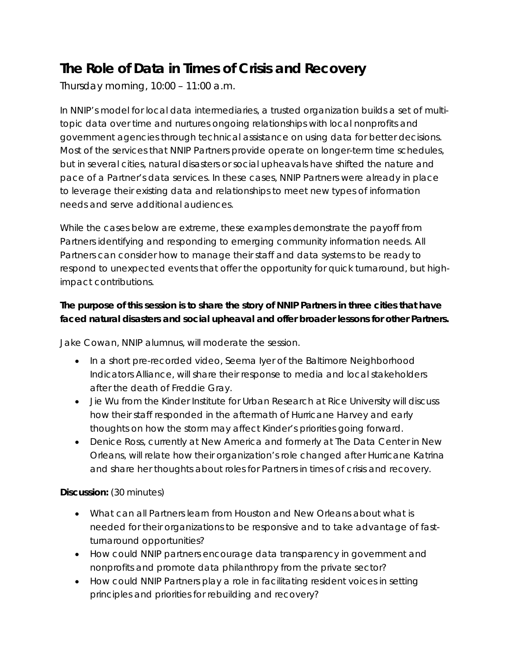# **The Role of Data in Times of Crisis and Recovery**

Thursday morning, 10:00 – 11:00 a.m.

In NNIP's model for local data intermediaries, a trusted organization builds a set of multitopic data over time and nurtures ongoing relationships with local nonprofits and government agencies through technical assistance on using data for better decisions. Most of the services that NNIP Partners provide operate on longer-term time schedules, but in several cities, natural disasters or social upheavals have shifted the nature and pace of a Partner's data services. In these cases, NNIP Partners were already in place to leverage their existing data and relationships to meet new types of information needs and serve additional audiences.

While the cases below are extreme, these examples demonstrate the payoff from Partners identifying and responding to emerging community information needs. All Partners can consider how to manage their staff and data systems to be ready to respond to unexpected events that offer the opportunity for quick turnaround, but highimpact contributions.

# *The purpose of this session is to share the story of NNIP Partners in three cities that have faced natural disasters and social upheaval and offer broader lessons for other Partners.*

Jake Cowan, NNIP alumnus, will moderate the session.

- In a short pre-recorded video, Seema Iyer of the Baltimore Neighborhood Indicators Alliance, will share their response to media and local stakeholders after the death of Freddie Gray.
- Jie Wu from the Kinder Institute for Urban Research at Rice University will discuss how their staff responded in the aftermath of Hurricane Harvey and early thoughts on how the storm may affect Kinder's priorities going forward.
- Denice Ross, currently at New America and formerly at The Data Center in New Orleans, will relate how their organization's role changed after Hurricane Katrina and share her thoughts about roles for Partners in times of crisis and recovery.

**Discussion:** (30 minutes)

- What can all Partners learn from Houston and New Orleans about what is needed for their organizations to be responsive and to take advantage of fastturnaround opportunities?
- How could NNIP partners encourage data transparency in government and nonprofits and promote data philanthropy from the private sector?
- How could NNIP Partners play a role in facilitating resident voices in setting principles and priorities for rebuilding and recovery?